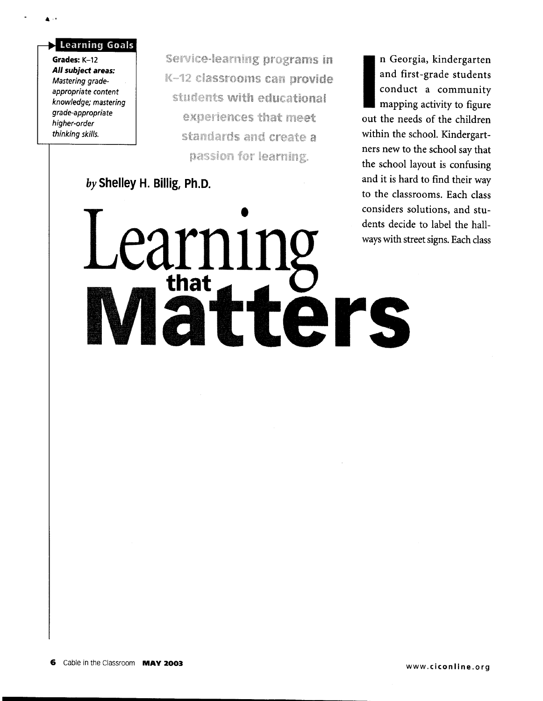Grades: K-12 All subject areas: Mastering gradeappropriate content knowledge; mastering grade-appropriate higher-order thinking skills.

**Learning Goals** 

 $\mathbf{A}$  is  $\mathbf{A}$ 

Service-learning programs in K-12 classrooms can provide students with educational experiences that meet standards and create a passion for learning.

**Matters** 

earning

*by* **Shelley H. Billig, Ph.D.** 

n Georgia, kindergarten<br>
and first-grade students<br>
conduct a community<br>
mapping activity to figure<br>
out the needs of the children and first-grade students conduct a community mapping activity to figure out the needs of the children within the school. Kindergartners new to the school say that the school layout is confusing and it is hard to find their way to the classrooms. Each class considers solutions, and students decide to label the hallways with street signs. Each class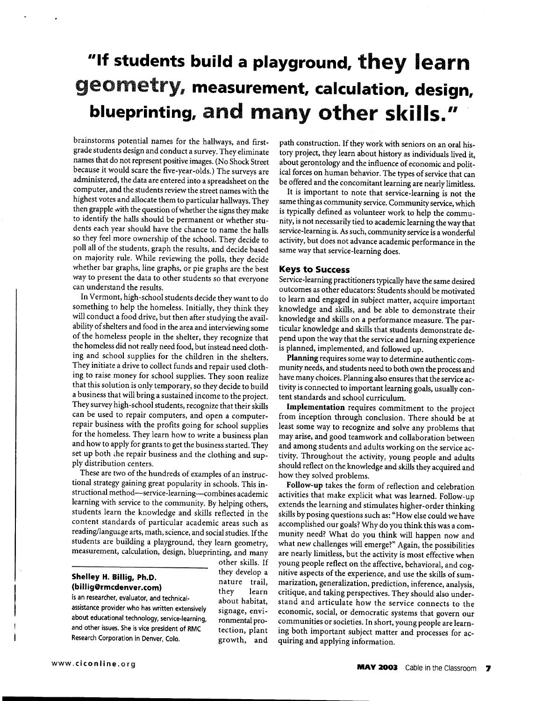# **••If students build a playground. they learn**  geometry, **measurement. calculation. design. blueprinting.** and **many other ski lis."**

brainstorms potential names for the hallways, and firstgrade students design and conduct a survey. They eliminate names that do not represent positive images. (No Shock Street because it would scare the five-year-olds.) The surveys are administered, the data are entered into a spreadsheet on the computer, and the students review the street names with the highest votes and allocate them to particular hallways. They then grapple with the question of whether the signs they make to identify the halls should be permanent or whether students each year should have the chance to name the halls so they feel more ownership of the school. They decide to poll all of the students, graph the results, and decide based on majority rule. While reviewing the polls, they decide whether bar graphs, line graphs, or pie graphs are the best way to present the data to other students so that everyone can understand the results.

In Vermont, high-school students decide they want to do something to help the homeless. Initially, they think they will conduct a food drive, but then after studying the availability of shelters and food in the area and interviewing some of the homeless people in the shelter, they recognize that the homeless did not really need food, but instead need clothing and school supplies for the children in the shelters. They initiate a drive to collect funds and repair used clothing to raise money for school supplies. They soon realize that this solution is only temporary, so they decide to build a business that will bring a sustained income to the project. They survey high-school students, recognize that their skills can be used to repair computers, and open a computerrepair business with the profits going for school supplies for the homeless. They learn how to write a business plan and how to apply for grants to get the business started. They set up both che repair business and the clothing and supply distribution centers.

These are two of the hundreds of examples of an instructional strategy gaining great popularity in schools. This instructional method-service-learning-combines academic learning with service to the community. By helping others, students learn the knowledge and skills reflected in the content standards of particular academic areas such as reading/language arts, math, science, and social studies. If the students are building a playground, they learn geometry, measurement, calculation, design, blueprinting, and many

#### **Shelley H. Billig, Ph.D. (billig@rmcdenver.com)**

is an researcher, evaluator, and technicalassistance provider who has written extensively about educational technology, service-learning, and other issues. She is vice president of RMC Research Corporation in Denver, Colo.

other skills. If they develop a nature trail, they learn about habitat, signage, environmental protection, plant growth, and path construction. If they work with seniors on an oral history project, they learn about history as individuals lived it, about gerontology and the influence of economic and political forces on human behavior. The types of service that can be offered and the concomitant learning are nearly limitless.

It is important to note that service-learning is not the same thing as community service. Community service, which is typically defined as volunteer work to help the community, is not necessarily tied to academic learning the way that service-learning is. As such, community service is a wonderful activity, but does not advance academic performance in the same way that service-learning does.

#### **Keys to Success**

Service-learning practitioners typically have the same desired outcomes as other educators: Students should be motivated to learn and engaged in subject matter, acquire important knowledge and skills, and be able to demonstrate their knowledge and skills on a performance measure. The particular knowledge and skills that students demonstrate depend upon the way that the service and learning experience is planned, implemented, and followed up.

**Planning** requires some way to determine authentic community needs, and students need to both own the process and have many choices. Planning also ensures that the service activity is connected to important learning goals, usually content standards and school curriculum.

**Implementation** requires commitment to the project from inception through conclusion. There should be at least some way to recognize and solve any problems that may arise, and good teamwork and collaboration between and among students and adults working on the service activity. Throughout the activity, young people and adults should reflect on the knowledge and skills they acquired and how they solved problems.

**Follow-up** takes the form of reflection and celebration activities that make explicit what was learned. Follow-up extends the learning and stimulates higher-order thinking skills by posing questions such as: "How else could we have accomplished our goals? Why do you think this was a community need? What do you think will happen now and what new challenges will emerge?" Again, the possibilities are nearly limitless, but the activity is most effective when young people reflect on the affective, behavioral, and cognitive aspects of the experience, and use the skills of summarization, generalization, prediction, inference, analysis, critique, and taking perspectives. They should also understand and articulate how the service connects to the economic, social, or democratic systems that govern our communities or societies. In short, young people are learning both important subject matter and processes for acquiring and applying information.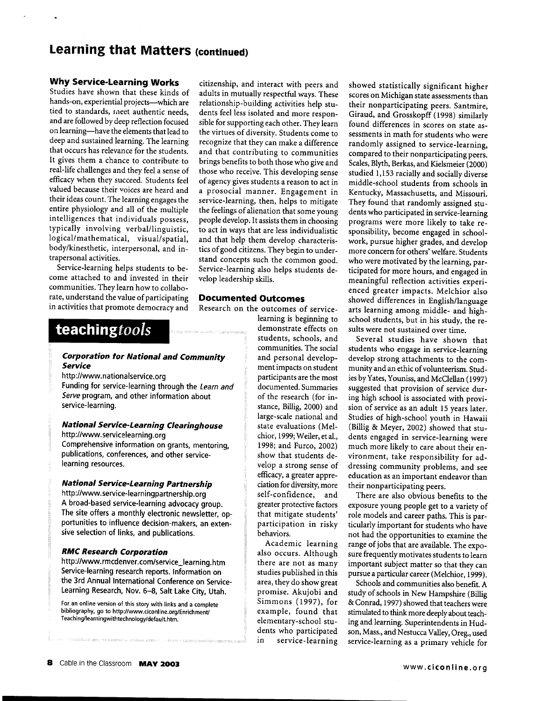# **Learning that Matters (continued)**

#### **Why Service-Learning Works**

Studies have shown that these kinds of hands-on, experiential projects--which are tied to standards, meet authentic needs, and are followed by deep reflection focused on learning-have the elements that lead to deep and sustained learning. The learning that occurs has relevance for the students. It gives them a chance to contribute to real-life challenges and they feel a sense of efficacy when they succeed. Students feel valued because their voices are heard and their ideas count. The learning engages the entire physiology and all of the multiple intelligences that individuals possess, typically involving verbal/linguistic, logical/mathematical, visual/spatial, body/kinesthetic, interpersonal, and intrapersonal activities.

Service-learning helps students to become attached to and invested in their communities. They learn how to collaborate, understand the value of participating in activities that promote democracy and

citizenship, and interact with peers and adults in mutually respectful ways. These relationship-building activities help students feel less isolated and more responsible for supporting each other. They learn the virtues of diversity. Students come to recognize that they can make a difference and that contributing to communities brings benefits to both those who give and those who receive. This developing sense of agency gives students a reason to act in a prosocial manner. Engagement in service-learning, then, helps to mitigate the feelings of alienation that some young people develop. It assists them in choosing to act in ways that are less individualistic and that help them develop characteristics of good citizens. They begin to understand concepts such the common good. Service-learning also helps students develop leadership skills.

### **Documented Outcomes**

Research on the outcomes of service-

behaviors.

Academic learning also occurs. Although there are not as many studies published in this area, they do show great promise. Akujobi and Simmons (1997), for example, found that elementary-school students who participated in service-learning

learning is beginning to demonstrate effects on students, schools, and communities. The social

and personal development impacts on student participants are the most documented. Summaries of the research (for instance, Billig, 2000) and large-scale national and state evaluations (Melchior, 1999; Weiler, etal., 1998; and Furco, 2002) show that students develop a strong sense of efficacy, a greater appreciation for diversity, more self-confidence, and greater protective factors that mitigate students' participation in risky

## **teachingtools**

#### **Corporation for National and Community Service**

#### http://www.nationalservice.org

Funding for service-learning through the Learn and Serve program, and other information about service-learning.

#### **National Service-Learning Clearinghouse**  http://www .servicelearning.org

Comprehensive information on grants, mentoring, publications, conferences, and other servicelearning resources.

#### **National Service-Learning Partnership**

http://www.service-learningpartnership.org A broad-based service-learning advocacy group. The site offers a monthly electronic newsletter, opportunities to influence decision-makers, an extensive selection of links, and publications.

#### **RMC Research Corporation**

http://www.rmcdenver.com/service\_learning.htm Service-learning research reports. Information on the 3rd Annual International Conference on Service-Learning Research, Nov. 6-8, Salt Lake City, Utah.

For an online version of this story with links and a complete bibliography. go to http://www.ciconline.org/Enrichment/ Teaching/learningwithtechnology/default.htm.

showed statistically significant higher scores on Michigan state assessments than their nonparticipating peers. Santmire, Giraud, and Grosskopff ( 1998) similarly found differences in scores on state assessments in math for students who were randomly assigned to service-learning, compared to their nonparticipating peers. Scales, Blyth, Berkas, and Kielsmeier (2000) studied 1,153 racially and socially diverse middle-school students from schools in Kentucky, Massachusetts, and Missouri. They found that randomly assigned students who participated in service-learning programs were more likely to take responsibility, become engaged in schoolwork, pursue higher grades, and develop more concern for others' welfare. Students who were motivated by the learning, participated for more hours, and engaged in meaningful reflection activities experienced greater impacts. Melchior also showed differences in English/language arts learning among middle- and highschool students, but in his study, the results were not sustained over time.

Several studies have shown that students who engage in service-learning develop strong attachments to the community and an ethic of volunteerism. Studies by Yates, Youniss, and McClellan (1997) suggested that provision of service during high school is associated with provision of service as an adult 15 years later. Studies of high-school youth in Hawaii (Billig & Meyer, 2002) showed that students engaged in service-learning were much more likely to care about their environment, take responsibility for addressing community problems, and see education as an important endeavor than their nonparticipating peers.

There are also obvious benefits to the exposure young people get to a variety of role models and career paths. This is particularly important for students who have not had the opportunities to examine the range of jobs that are available. The exposure frequently motivates students to learn important subject matter so that they can pursue a particular career (Melchior, 1999).

Schools and communities also benefit. A study of schools in New Hampshire (Billig & Conrad, 1997) showed that teachers were stimulated to think more deeply about teaching and learning. Superintendents in Hudson, Mass., and Nestucca Valley, Oreg., used service-learning as a primary vehicle for

.<br>Biosny gable, have a result of the model of ser